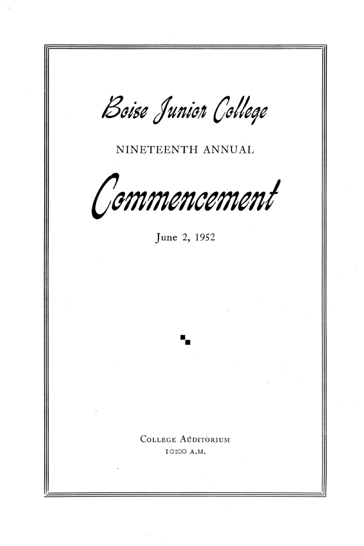Boise Junion College NINETEENTH ANNUAL Commencement June 2, 1952 **••**  COLLEGE AUDITORIUM 10:00 A .M.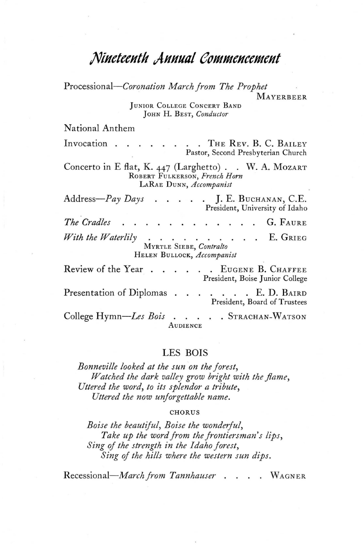## **/Viuctccutlt AuulIlll CPllfllfCUCCIlfCJtt**

*Processional-Coronation March jrom The Prophet*  MAYERBEER JUNIOR COLLEGE CONCERT BAND

JOHN H. BEST, *Conductor* 

National Anthem

Invocation . . . . . . . THE REV. B. C. BAILEY Pastor, Second Presbyterian Church

Concerto in E flat, K. 447 (Larghetto). . W. A. MOZART ROBERT FULKERSON, *French Horn*  LARAE DUNN, *Accompanist* 

Address-*Pay Days* **. . . . J. E.** BUCHANAN, C.E. President, University of Idaho *The Cradles*  G. FAURE . . . . . *With the Waterlily* . . . . E. GRIEG  $\cdot$   $\cdot$   $\cdot$ MYRTLE SIEBE, *Contralto*  HELEN BULLOCK, *Accompanist* 

Review of the Year . . . . . EUGENE B. CHAFFEE President, Boise Junior College Presentation of Diplomas . . . . . . E. D. BAIRD President, Board of Trustees College *Hymn-Les Bois* . . . . . STRACHAN-WATSON AUDIENCE

LES BOIS

*Bonneville looked at the sun on the jorest, Watched the dark valley grow bright with the flame, Uttered the word, to its splendor a tribute, Uttered the now unjorgettable name.* 

#### CHORUS

*Boise the beautiful, Boise the wonderful,*  Take up the word from the frontiersman's lips, *Sing oj the strength in the Idaho jorest, Sing oj the hills where the western sun dips.* 

*Recessional-March jrom Tannhauser .* . WAGNER